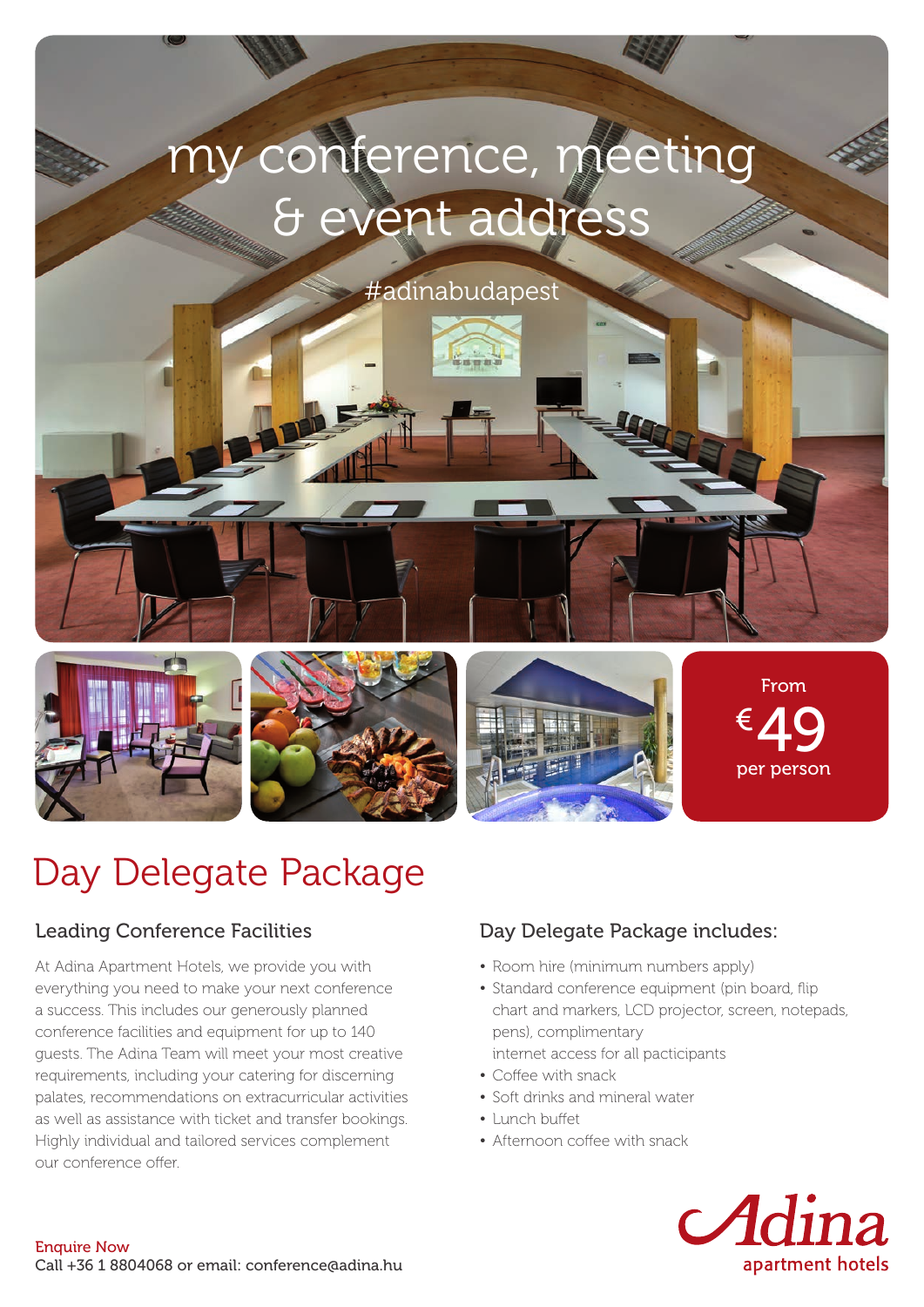# my conference, meeting & event address

#adinabudapest



From  $649$ per person

# Day Delegate Package

## Leading Conference Facilities

At Adina Apartment Hotels, we provide you with everything you need to make your next conference a success. This includes our generously planned conference facilities and equipment for up to 140 guests. The Adina Team will meet your most creative requirements, including your catering for discerning palates, recommendations on extracurricular activities as well as assistance with ticket and transfer bookings. Highly individual and tailored services complement our conference offer.

# Day Delegate Package includes:

- Room hire (minimum numbers apply)
- Standard conference equipment (pin board, flip chart and markers, LCD projector, screen, notepads, pens), complimentary internet access for all pacticipants
- Coffee with snack
- Soft drinks and mineral water
- Lunch buffet
- Afternoon coffee with snack